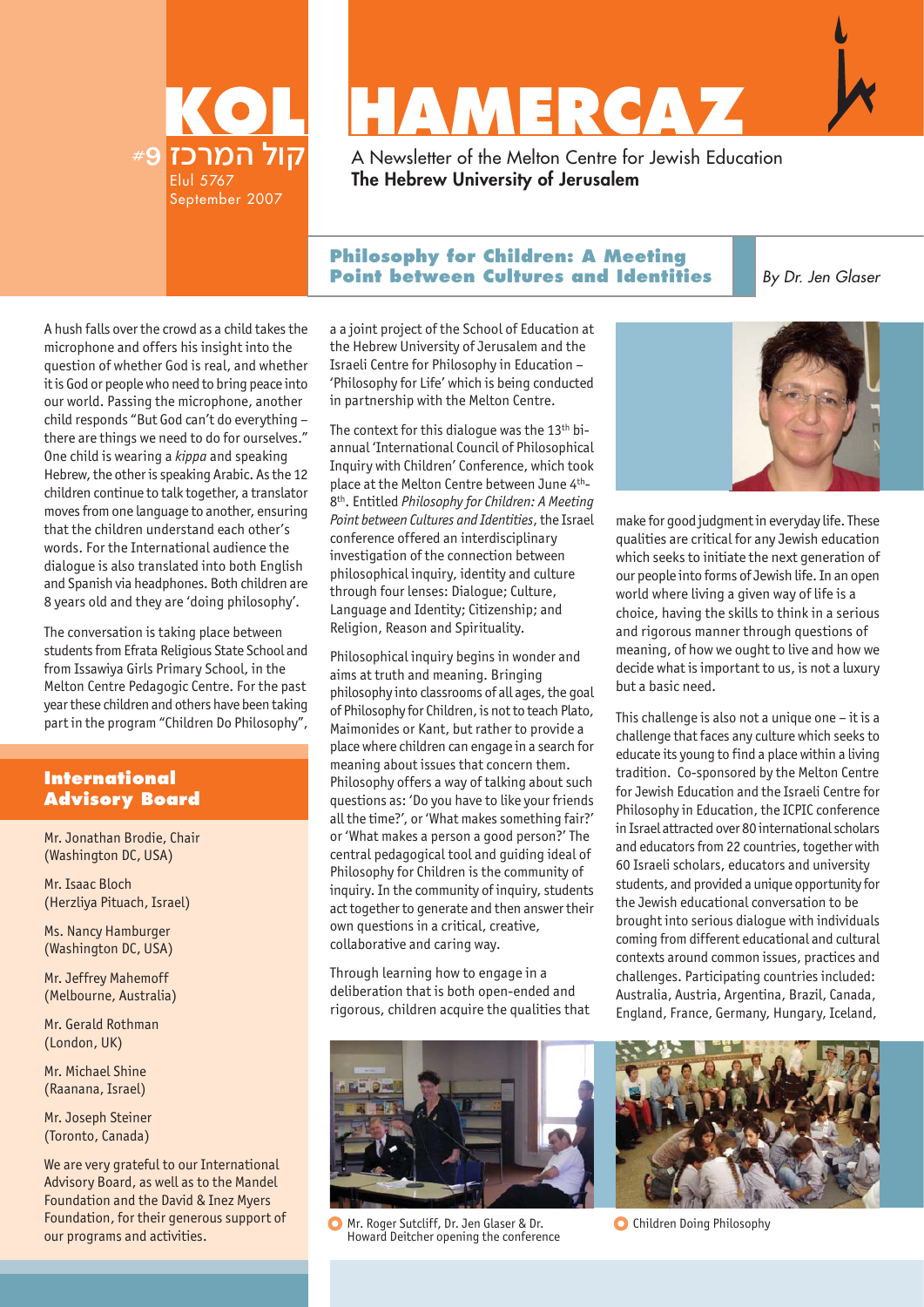

# **KAMERCAZ**

A Newsletter of the Melton Centre for Jewish Education **The Hebrew University of Jerusalem**

## **Philosophy for Children: A Meeting Point between Cultures and Identities**

By Dr. Jen Glaser

A hush falls over the crowd as a child takes the microphone and offers his insight into the question of whether God is real, and whether it is God or people who need to bring peace into our world. Passing the microphone, another child responds "But God can't do everything – there are things we need to do for ourselves." One child is wearing a *kippa* and speaking Hebrew, the other is speaking Arabic. As the 12 children continue to talk together, a translator moves from one language to another, ensuring that the children understand each other's words. For the International audience the dialogue is also translated into both English and Spanish via headphones. Both children are 8 years old and they are 'doing philosophy'.

The conversation is taking place between students from Efrata Religious State School and from Issawiya Girls Primary School, in the Melton Centre Pedagogic Centre. For the past year these children and others have been taking part in the program "Children Do Philosophy",

## **International Advisory Board**

Mr. Jonathan Brodie, Chair (Washington DC, USA)

Mr. Isaac Bloch (Herzliya Pituach, Israel)

Ms. Nancy Hamburger (Washington DC, USA)

Mr. Jeffrey Mahemoff (Melbourne, Australia)

Mr. Gerald Rothman (London, UK)

Mr. Michael Shine (Raanana, Israel)

Mr. Joseph Steiner (Toronto, Canada)

We are very grateful to our International Advisory Board, as well as to the Mandel Foundation and the David & Inez Myers Foundation, for their generous support of our programs and activities.

a a joint project of the School of Education at the Hebrew University of Jerusalem and the Israeli Centre for Philosophy in Education – 'Philosophy for Life' which is being conducted in partnership with the Melton Centre.

The context for this dialogue was the 13<sup>th</sup> biannual 'International Council of Philosophical Inquiry with Children' Conference, which took place at the Melton Centre between June 4th-8th. Entitled *Philosophy for Children: A Meeting Point between Cultures and Identities*, the Israel conference offered an interdisciplinary investigation of the connection between philosophical inquiry, identity and culture through four lenses: Dialogue; Culture, Language and Identity; Citizenship; and Religion, Reason and Spirituality.

Philosophical inquiry begins in wonder and aims at truth and meaning. Bringing philosophy into classrooms of all ages, the goal of Philosophy for Children, is not to teach Plato, Maimonides or Kant, but rather to provide a place where children can engage in a search for meaning about issues that concern them. Philosophy offers a way of talking about such questions as: 'Do you have to like your friends all the time?', or 'What makes something fair?' or 'What makes a person a good person?' The central pedagogical tool and guiding ideal of Philosophy for Children is the community of inquiry. In the community of inquiry, students act together to generate and then answer their own questions in a critical, creative, collaborative and caring way.

Through learning how to engage in a deliberation that is both open-ended and rigorous, children acquire the qualities that



Mr. Roger Sutcliff, Dr. Jen Glaser & Dr. Howard Deitcher opening the conference



make for good judgment in everyday life. These qualities are critical for any Jewish education which seeks to initiate the next generation of our people into forms of Jewish life. In an open world where living a given way of life is a choice, having the skills to think in a serious and rigorous manner through questions of meaning, of how we ought to live and how we decide what is important to us, is not a luxury but a basic need.

This challenge is also not a unique one – it is a challenge that faces any culture which seeks to educate its young to find a place within a living tradition. Co-sponsored by the Melton Centre for Jewish Education and the Israeli Centre for Philosophy in Education, the ICPIC conference in Israel attracted over 80 international scholars and educators from 22 countries, together with 60 Israeli scholars, educators and university students, and provided a unique opportunity for the Jewish educational conversation to be brought into serious dialogue with individuals coming from different educational and cultural contexts around common issues, practices and challenges. Participating countries included: Australia, Austria, Argentina, Brazil, Canada, England, France, Germany, Hungary, Iceland,



**C** Children Doing Philosophy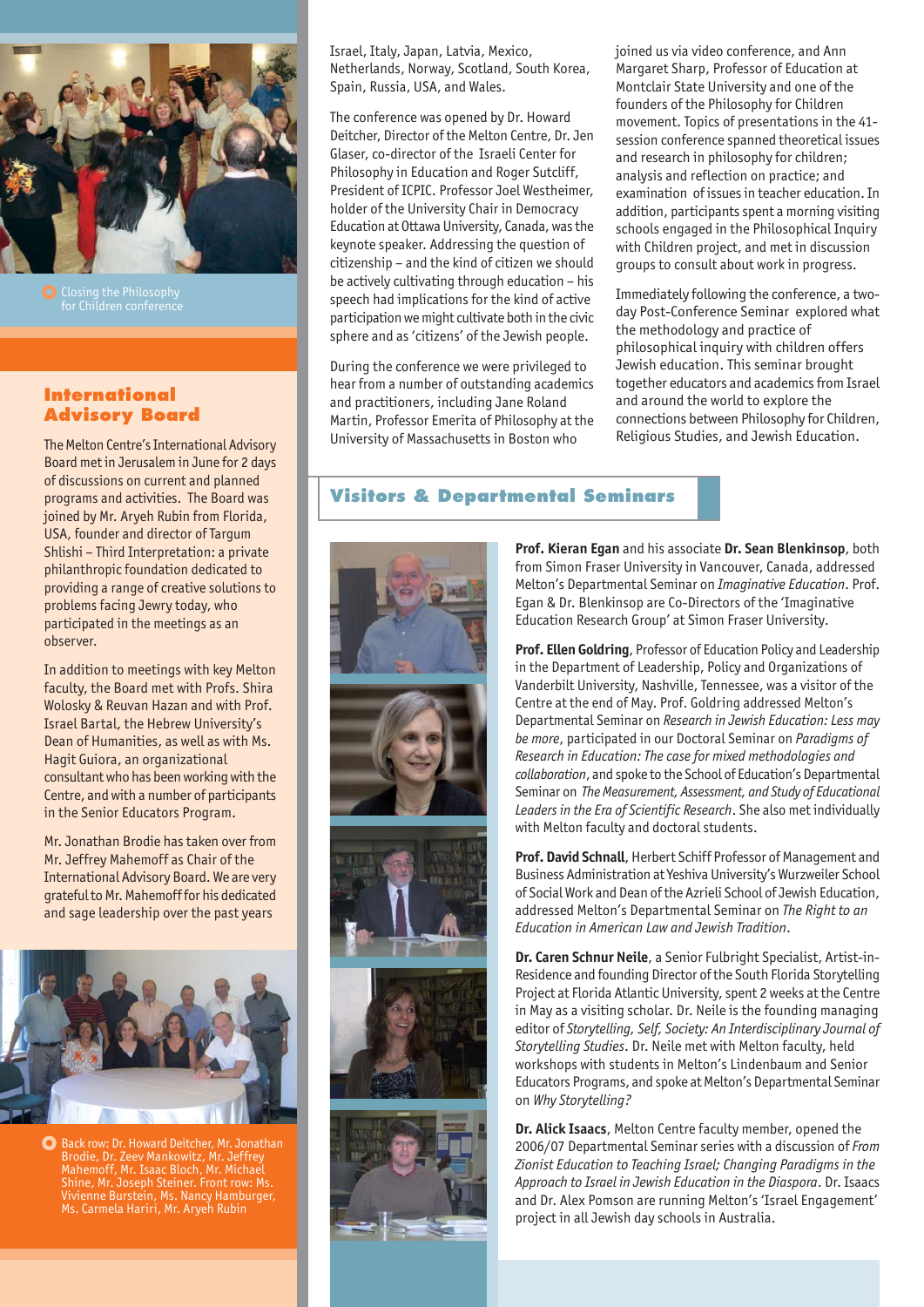

Closing the Philosophy

## **International Advisory Board**

The Melton Centre's International Advisory Board met in Jerusalem in June for 2 days of discussions on current and planned programs and activities. The Board was joined by Mr. Aryeh Rubin from Florida, USA, founder and director of Targum Shlishi – Third Interpretation: a private philanthropic foundation dedicated to providing a range of creative solutions to problems facing Jewry today, who participated in the meetings as an observer.

In addition to meetings with key Melton faculty, the Board met with Profs. Shira Wolosky & Reuvan Hazan and with Prof. Israel Bartal, the Hebrew University's Dean of Humanities, as well as with Ms. Hagit Guiora, an organizational consultant who has been working with the Centre, and with a number of participants in the Senior Educators Program.

Mr. Jonathan Brodie has taken over from Mr. Jeffrey Mahemoff as Chair of the International Advisory Board. We are very grateful to Mr. Mahemoff for his dedicated and sage leadership over the past years



Back row: Dr. Howard Deitcher, Mr. Jonathan Brodie, Dr. Zeev Mankowitz, Mr. Jeffrey Mahemoff, Mr. Isaac Bloch, Mr. Michael Shine, Mr. Joseph Steiner. Front row: Ms. Vivienne Burstein, Ms. Nancy Hamburger, Ms. Carmela Hariri, Mr. Aryeh Rubin

Israel, Italy, Japan, Latvia, Mexico, Netherlands, Norway, Scotland, South Korea, Spain, Russia, USA, and Wales.

The conference was opened by Dr. Howard Deitcher, Director of the Melton Centre, Dr. Jen Glaser, co-director of the Israeli Center for Philosophy in Education and Roger Sutcliff, President of ICPIC. Professor Joel Westheimer, holder of the University Chair in Democracy Education at Ottawa University, Canada, was the keynote speaker. Addressing the question of citizenship – and the kind of citizen we should be actively cultivating through education – his speech had implications for the kind of active participation we might cultivate both in the civic sphere and as 'citizens' of the Jewish people.

During the conference we were privileged to hear from a number of outstanding academics and practitioners, including Jane Roland Martin, Professor Emerita of Philosophy at the University of Massachusetts in Boston who

joined us via video conference, and Ann Margaret Sharp, Professor of Education at Montclair State University and one of the founders of the Philosophy for Children movement. Topics of presentations in the 41 session conference spanned theoretical issues and research in philosophy for children; analysis and reflection on practice; and examination of issues in teacher education. In addition, participants spent a morning visiting schools engaged in the Philosophical Inquiry with Children project, and met in discussion groups to consult about work in progress.

Immediately following the conference, a twoday Post-Conference Seminar explored what the methodology and practice of philosophical inquiry with children offers Jewish education. This seminar brought together educators and academics from Israel and around the world to explore the connections between Philosophy for Children, Religious Studies, and Jewish Education.

# **Visitors & Departmental Seminars**



**Prof. Kieran Egan** and his associate **Dr. Sean Blenkinsop**, both from Simon Fraser University in Vancouver, Canada, addressed Melton's Departmental Seminar on *Imaginative Education*. Prof. Egan & Dr. Blenkinsop are Co-Directors of the 'Imaginative Education Research Group' at Simon Fraser University.

**Prof. Ellen Goldring**, Professor of Education Policy and Leadership in the Department of Leadership, Policy and Organizations of Vanderbilt University, Nashville, Tennessee, was a visitor of the Centre at the end of May. Prof. Goldring addressed Melton's Departmental Seminar on *Research in Jewish Education: Less may be more*, participated in our Doctoral Seminar on *Paradigms of Research in Education: The case for mixed methodologies and collaboration*, and spoke to the School of Education's Departmental Seminar on *The Measurement, Assessment, and Study of Educational Leaders in the Era of Scientific Research*. She also met individually with Melton faculty and doctoral students.

**Prof. David Schnall**, Herbert Schiff Professor of Management and Business Administration at Yeshiva University's Wurzweiler School of Social Work and Dean of the Azrieli School of Jewish Education, addressed Melton's Departmental Seminar on *The Right to an Education in American Law and Jewish Tradition*.

**Dr. Caren Schnur Neile**, a Senior Fulbright Specialist, Artist-in-Residence and founding Director of the South Florida Storytelling Project at Florida Atlantic University, spent 2 weeks at the Centre in May as a visiting scholar. Dr. Neile is the founding managing editor of *Storytelling, Self, Society: An Interdisciplinary Journal of Storytelling Studies*. Dr. Neile met with Melton faculty, held workshops with students in Melton's Lindenbaum and Senior Educators Programs, and spoke at Melton's Departmental Seminar on *Why Storytelling?*

**Dr. Alick Isaacs**, Melton Centre faculty member, opened the 2006/07 Departmental Seminar series with a discussion of *From Zionist Education to Teaching Israel; Changing Paradigms in the Approach to Israel in Jewish Education in the Diaspora*. Dr. Isaacs and Dr. Alex Pomson are running Melton's 'Israel Engagement' project in all Jewish day schools in Australia.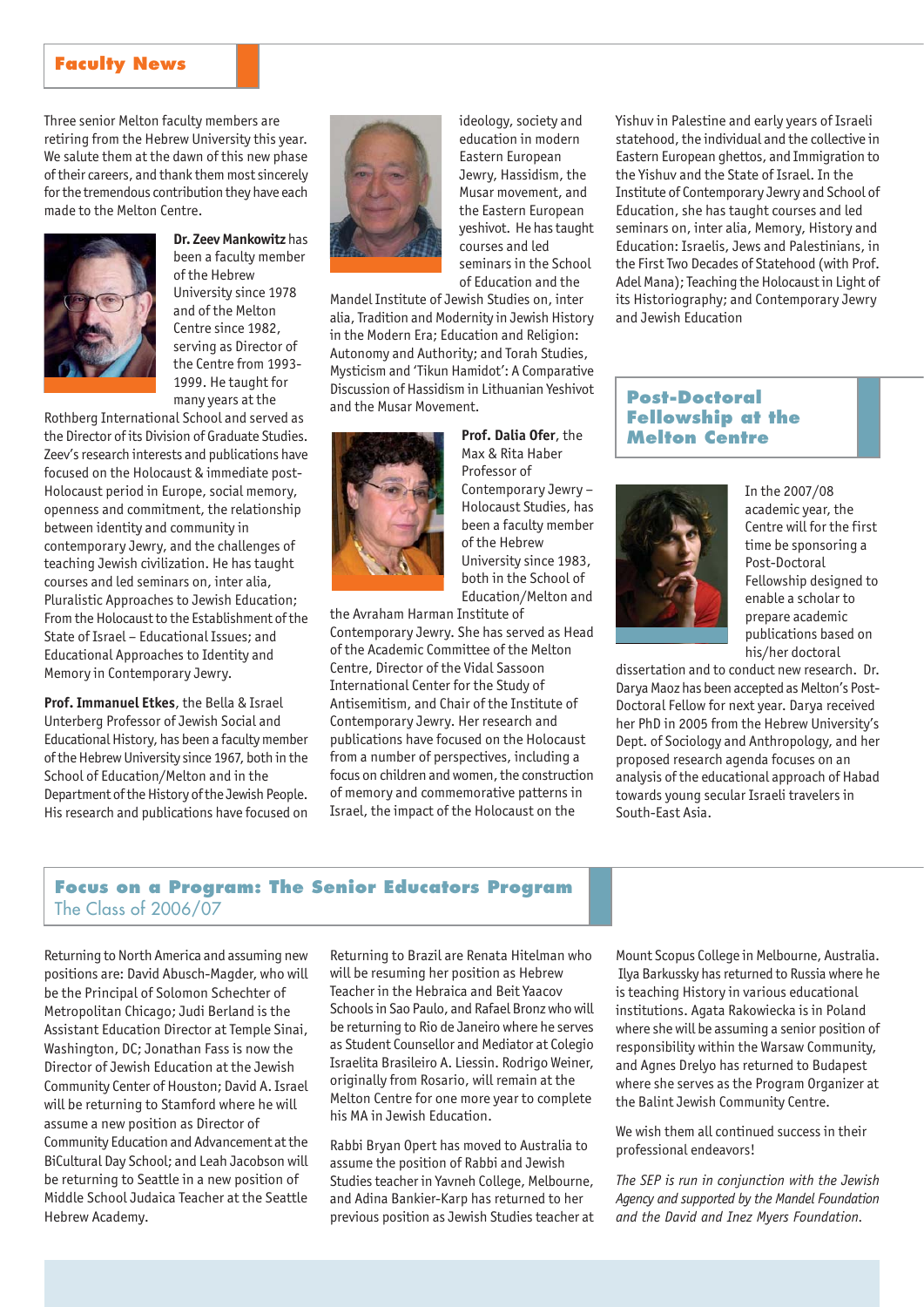## **Faculty News**

Three senior Melton faculty members are retiring from the Hebrew University this year. We salute them at the dawn of this new phase of their careers, and thank them most sincerely for the tremendous contribution they have each made to the Melton Centre.



**Dr. Zeev Mankowitz** has been a faculty member of the Hebrew University since 1978 and of the Melton Centre since 1982, serving as Director of the Centre from 1993- 1999. He taught for many years at the

Rothberg International School and served as the Director of its Division of Graduate Studies. Zeev's research interests and publications have focused on the Holocaust & immediate post-Holocaust period in Europe, social memory, openness and commitment, the relationship between identity and community in contemporary Jewry, and the challenges of teaching Jewish civilization. He has taught courses and led seminars on, inter alia, Pluralistic Approaches to Jewish Education; From the Holocaust to the Establishment of the State of Israel – Educational Issues; and Educational Approaches to Identity and Memory in Contemporary Jewry.

**Prof. Immanuel Etkes**, the Bella & Israel Unterberg Professor of Jewish Social and Educational History, has been a faculty member of the Hebrew University since 1967, both in the School of Education/Melton and in the Department of the History of the Jewish People. His research and publications have focused on



ideology, society and education in modern Eastern European Jewry, Hassidism, the Musar movement, and the Eastern European yeshivot. He has taught courses and led seminars in the School of Education and the

Mandel Institute of Jewish Studies on, inter alia, Tradition and Modernity in Jewish History in the Modern Era; Education and Religion: Autonomy and Authority; and Torah Studies, Mysticism and 'Tikun Hamidot': A Comparative Discussion of Hassidism in Lithuanian Yeshivot and the Musar Movement.



**Prof. Dalia Ofer**, the Max & Rita Haber Professor of Contemporary Jewry – Holocaust Studies, has been a faculty member of the Hebrew University since 1983, both in the School of Education/Melton and

the Avraham Harman Institute of Contemporary Jewry. She has served as Head of the Academic Committee of the Melton Centre, Director of the Vidal Sassoon International Center for the Study of Antisemitism, and Chair of the Institute of Contemporary Jewry. Her research and publications have focused on the Holocaust from a number of perspectives, including a focus on children and women, the construction of memory and commemorative patterns in Israel, the impact of the Holocaust on the

Yishuv in Palestine and early years of Israeli statehood, the individual and the collective in Eastern European ghettos, and Immigration to the Yishuv and the State of Israel. In the Institute of Contemporary Jewry and School of Education, she has taught courses and led seminars on, inter alia, Memory, History and Education: Israelis, Jews and Palestinians, in the First Two Decades of Statehood (with Prof. Adel Mana); Teaching the Holocaust in Light of its Historiography; and Contemporary Jewry and Jewish Education

## **Post-Doctoral Fellowship at the Melton Centre**



In the 2007/08 academic year, the Centre will for the first time be sponsoring a Post-Doctoral Fellowship designed to enable a scholar to prepare academic publications based on his/her doctoral

dissertation and to conduct new research. Dr. Darya Maoz has been accepted as Melton's Post-Doctoral Fellow for next year. Darya received her PhD in 2005 from the Hebrew University's Dept. of Sociology and Anthropology, and her proposed research agenda focuses on an analysis of the educational approach of Habad towards young secular Israeli travelers in South-East Asia.

## **Focus on a Program: The Senior Educators Program** The Class of 2006/07

Returning to North America and assuming new positions are: David Abusch-Magder, who will be the Principal of Solomon Schechter of Metropolitan Chicago; Judi Berland is the Assistant Education Director at Temple Sinai, Washington, DC; Jonathan Fass is now the Director of Jewish Education at the Jewish Community Center of Houston; David A. Israel will be returning to Stamford where he will assume a new position as Director of Community Education and Advancement at the BiCultural Day School; and Leah Jacobson will be returning to Seattle in a new position of Middle School Judaica Teacher at the Seattle Hebrew Academy.

Returning to Brazil are Renata Hitelman who will be resuming her position as Hebrew Teacher in the Hebraica and Beit Yaacov Schools in Sao Paulo, and Rafael Bronz who will be returning to Rio de Janeiro where he serves as Student Counsellor and Mediator at Colegio Israelita Brasileiro A. Liessin. Rodrigo Weiner, originally from Rosario, will remain at the Melton Centre for one more year to complete his MA in Jewish Education.

Rabbi Bryan Opert has moved to Australia to assume the position of Rabbi and Jewish Studies teacher in Yavneh College, Melbourne, and Adina Bankier-Karp has returned to her previous position as Jewish Studies teacher at Mount Scopus College in Melbourne, Australia. Ilya Barkussky has returned to Russia where he is teaching History in various educational institutions. Agata Rakowiecka is in Poland where she will be assuming a senior position of responsibility within the Warsaw Community, and Agnes Drelyo has returned to Budapest where she serves as the Program Organizer at the Balint Jewish Community Centre.

We wish them all continued success in their professional endeavors!

*The SEP is run in conjunction with the Jewish Agency and supported by the Mandel Foundation and the David and Inez Myers Foundation.*